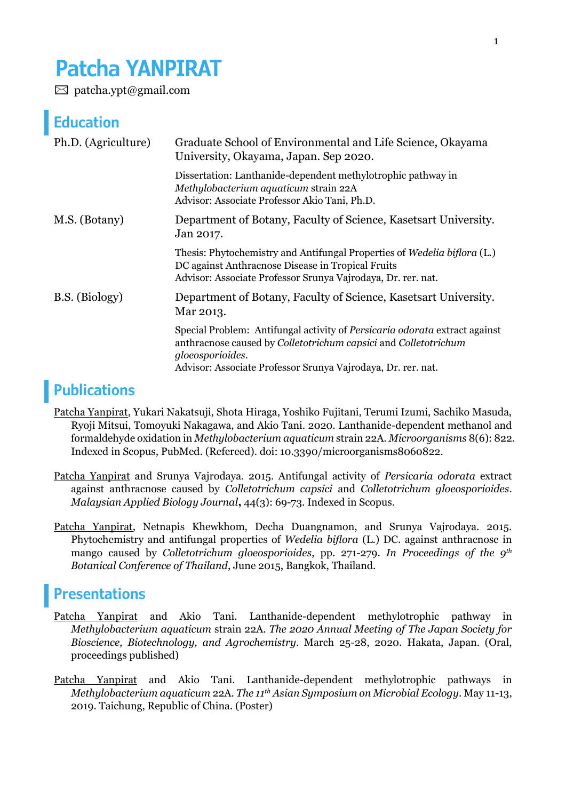# **Patcha YANPIRAT**

 $\boxtimes$  patcha.ypt@gmail.com

### **Education**

| Ph.D. (Agriculture) | Graduate School of Environmental and Life Science, Okayama<br>University, Okayama, Japan. Sep 2020.                                                                                                                               |
|---------------------|-----------------------------------------------------------------------------------------------------------------------------------------------------------------------------------------------------------------------------------|
|                     | Dissertation: Lanthanide-dependent methylotrophic pathway in<br>Methylobacterium aquaticum strain 22A<br>Advisor: Associate Professor Akio Tani, Ph.D.                                                                            |
| M.S. (Botany)       | Department of Botany, Faculty of Science, Kasetsart University.<br>Jan 2017.                                                                                                                                                      |
|                     | Thesis: Phytochemistry and Antifungal Properties of Wedelia biflora (L.)<br>DC against Anthracnose Disease in Tropical Fruits<br>Advisor: Associate Professor Srunya Vajrodaya, Dr. rer. nat.                                     |
| B.S. (Biology)      | Department of Botany, Faculty of Science, Kasetsart University.<br>Mar 2013.                                                                                                                                                      |
|                     | Special Problem: Antifungal activity of Persicaria odorata extract against<br>anthracnose caused by Colletotrichum capsici and Colletotrichum<br>gloeosporioides.<br>Advisor: Associate Professor Srunya Vajrodaya, Dr. rer. nat. |

## **Publications**

Patcha Yanpirat, Yukari Nakatsuji, Shota Hiraga, Yoshiko Fujitani, Terumi Izumi, Sachiko Masuda, Ryoji Mitsui, Tomoyuki Nakagawa, and Akio Tani. 2020. Lanthanide-dependent methanol and formaldehyde oxidation in *Methylobacterium aquaticum* strain 22A. *Microorganisms* 8(6): 822. Indexed in Scopus, PubMed. (Refereed). doi: 10.3390/microorganisms8060822.

Patcha Yanpirat and Srunya Vajrodaya. 2015. Antifungal activity of *Persicaria odorata* extract against anthracnose caused by *Colletotrichum capsici* and *Colletotrichum gloeosporioides*. *Malaysian Applied Biology Journal***,** 44(3): 69-73. Indexed in Scopus.

Patcha Yanpirat, Netnapis Khewkhom, Decha Duangnamon, and Srunya Vajrodaya. 2015. Phytochemistry and antifungal properties of *Wedelia biflora* (L.) DC. against anthracnose in mango caused by *Colletotrichum gloeosporioides*, pp. 271-279. *In Proceedings of the 9th Botanical Conference of Thailand*, June 2015, Bangkok, Thailand.

#### **Presentations**

- Patcha Yanpirat and Akio Tani. Lanthanide-dependent methylotrophic pathway in *Methylobacterium aquaticum* strain 22A. *The 2020 Annual Meeting of The Japan Society for Bioscience, Biotechnology, and Agrochemistry*. March 25-28, 2020. Hakata, Japan. (Oral, proceedings published)
- Patcha Yanpirat and Akio Tani. Lanthanide-dependent methylotrophic pathways in *Methylobacterium aquaticum* 22A. *The 11th Asian Symposium on Microbial Ecology*. May 11-13, 2019. Taichung, Republic of China. (Poster)